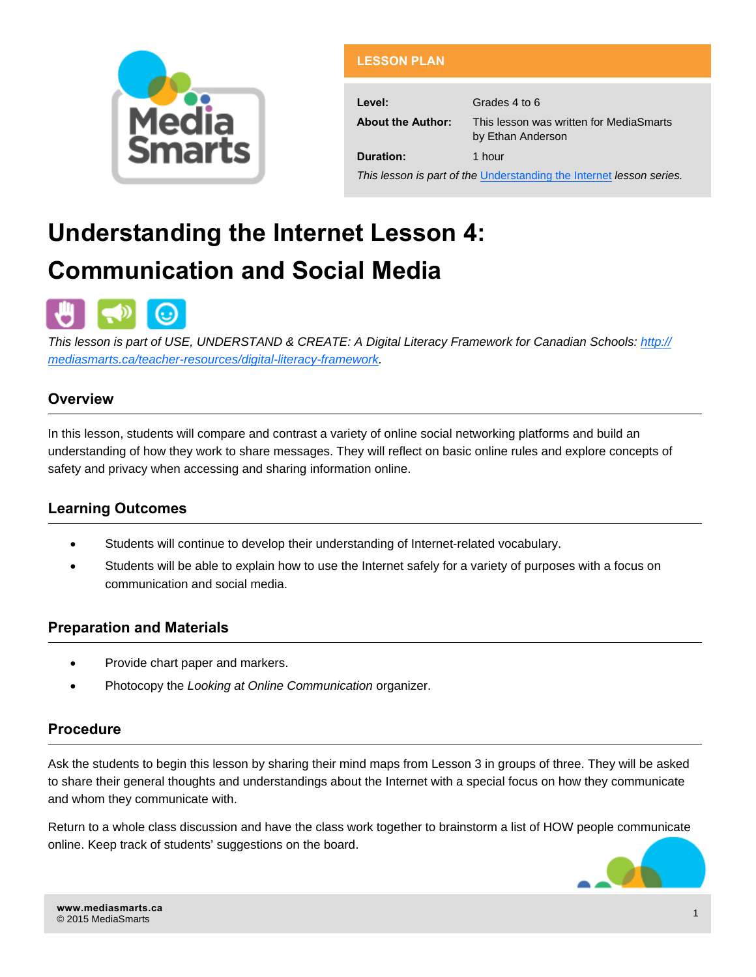

#### **LESSON PLAN**

| Level:                                                               | Grades 4 to 6                                                |  |  |  |
|----------------------------------------------------------------------|--------------------------------------------------------------|--|--|--|
| <b>About the Author:</b>                                             | This lesson was written for MediaSmarts<br>by Ethan Anderson |  |  |  |
| Duration:                                                            | 1 hour                                                       |  |  |  |
| This lesson is part of the Understanding the Internet lesson series. |                                                              |  |  |  |

# **Understanding the Internet Lesson 4: Communication and Social Media**



*This lesson is part of USE, UNDERSTAND & CREATE: A Digital Literacy Framework for Canadian Schools: [http://](http://mediasmarts.ca/teacher-resources/digital-literacy-framework) [mediasmarts.ca/teacher-resources/digital-literacy-framework.](http://mediasmarts.ca/teacher-resources/digital-literacy-framework)* 

## **Overview**

In this lesson, students will compare and contrast a variety of online social networking platforms and build an understanding of how they work to share messages. They will reflect on basic online rules and explore concepts of safety and privacy when accessing and sharing information online.

### **Learning Outcomes**

- Students will continue to develop their understanding of Internet-related vocabulary.
- Students will be able to explain how to use the Internet safely for a variety of purposes with a focus on communication and social media.

### **Preparation and Materials**

- Provide chart paper and markers.
- Photocopy the *Looking at Online Communication* organizer.

### **Procedure**

Ask the students to begin this lesson by sharing their mind maps from Lesson 3 in groups of three. They will be asked to share their general thoughts and understandings about the Internet with a special focus on how they communicate and whom they communicate with.

Return to a whole class discussion and have the class work together to brainstorm a list of HOW people communicate online. Keep track of students' suggestions on the board.

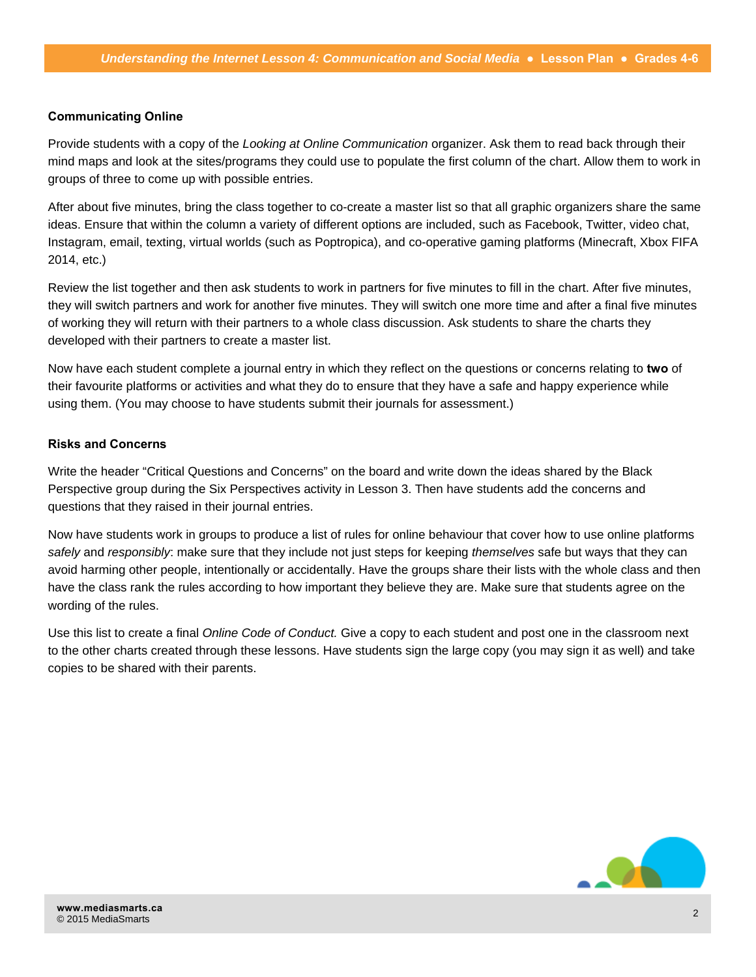#### **Communicating Online**

Provide students with a copy of the *Looking at Online Communication* organizer. Ask them to read back through their mind maps and look at the sites/programs they could use to populate the first column of the chart. Allow them to work in groups of three to come up with possible entries.

After about five minutes, bring the class together to co-create a master list so that all graphic organizers share the same ideas. Ensure that within the column a variety of different options are included, such as Facebook, Twitter, video chat, Instagram, email, texting, virtual worlds (such as Poptropica), and co-operative gaming platforms (Minecraft, Xbox FIFA 2014, etc.)

Review the list together and then ask students to work in partners for five minutes to fill in the chart. After five minutes, they will switch partners and work for another five minutes. They will switch one more time and after a final five minutes of working they will return with their partners to a whole class discussion. Ask students to share the charts they developed with their partners to create a master list.

Now have each student complete a journal entry in which they reflect on the questions or concerns relating to **two** of their favourite platforms or activities and what they do to ensure that they have a safe and happy experience while using them. (You may choose to have students submit their journals for assessment.)

#### **Risks and Concerns**

Write the header "Critical Questions and Concerns" on the board and write down the ideas shared by the Black Perspective group during the Six Perspectives activity in Lesson 3. Then have students add the concerns and questions that they raised in their journal entries.

Now have students work in groups to produce a list of rules for online behaviour that cover how to use online platforms *safely* and *responsibly*: make sure that they include not just steps for keeping *themselves* safe but ways that they can avoid harming other people, intentionally or accidentally. Have the groups share their lists with the whole class and then have the class rank the rules according to how important they believe they are. Make sure that students agree on the wording of the rules.

Use this list to create a final *Online Code of Conduct.* Give a copy to each student and post one in the classroom next to the other charts created through these lessons. Have students sign the large copy (you may sign it as well) and take copies to be shared with their parents.

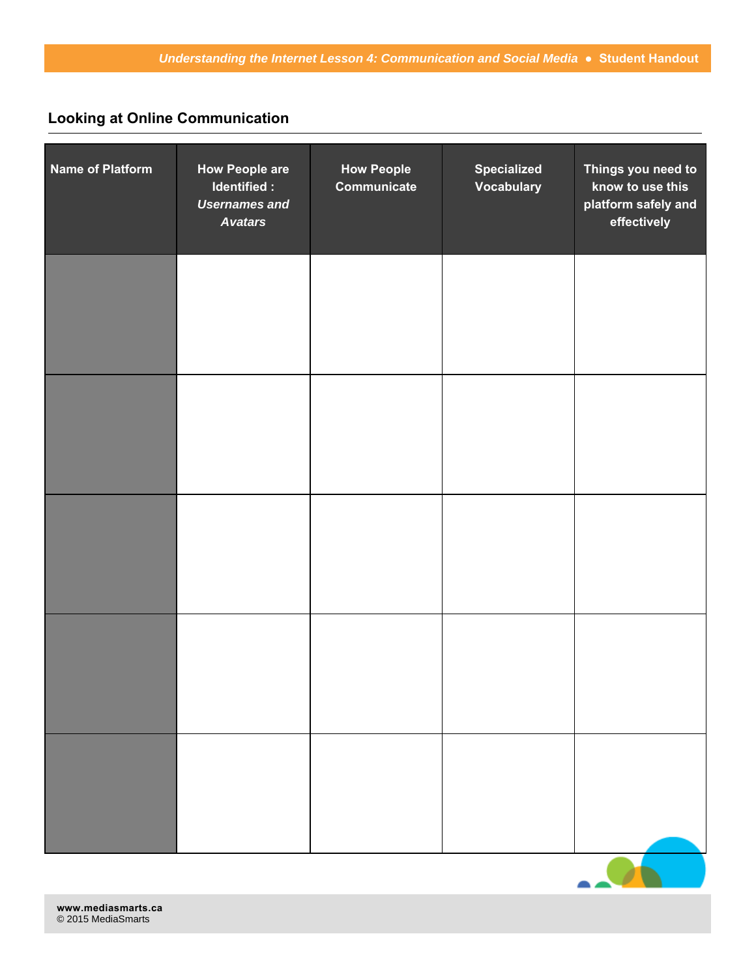# **Looking at Online Communication**

| <b>Name of Platform</b> | <b>How People are</b><br>Identified :<br><b>Usernames and</b><br><b>Avatars</b> | <b>How People</b><br>Communicate | <b>Specialized</b><br><b>Vocabulary</b> | Things you need to<br>know to use this<br>platform safely and<br>effectively |
|-------------------------|---------------------------------------------------------------------------------|----------------------------------|-----------------------------------------|------------------------------------------------------------------------------|
|                         |                                                                                 |                                  |                                         |                                                                              |
|                         |                                                                                 |                                  |                                         |                                                                              |
|                         |                                                                                 |                                  |                                         |                                                                              |
|                         |                                                                                 |                                  |                                         |                                                                              |
|                         |                                                                                 |                                  |                                         |                                                                              |